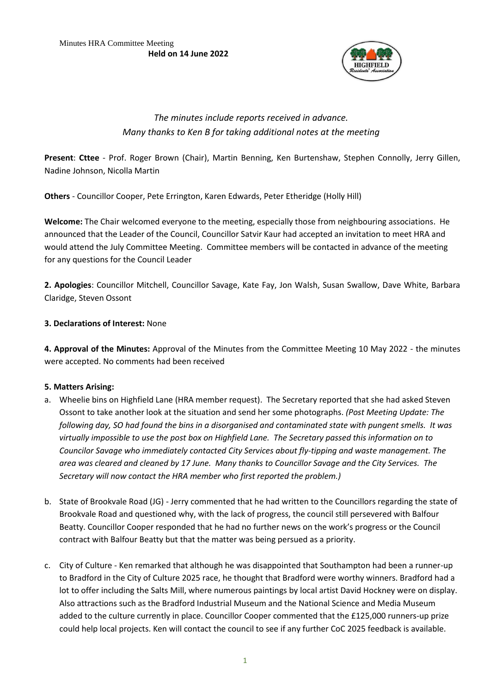

# *The minutes include reports received in advance. Many thanks to Ken B for taking additional notes at the meeting*

**Present**: **Cttee** - Prof. Roger Brown (Chair), Martin Benning, Ken Burtenshaw, Stephen Connolly, Jerry Gillen, Nadine Johnson, Nicolla Martin

**Others** - Councillor Cooper, Pete Errington, Karen Edwards, Peter Etheridge (Holly Hill)

**Welcome:** The Chair welcomed everyone to the meeting, especially those from neighbouring associations. He announced that the Leader of the Council, Councillor Satvir Kaur had accepted an invitation to meet HRA and would attend the July Committee Meeting. Committee members will be contacted in advance of the meeting for any questions for the Council Leader

**2. Apologies**: Councillor Mitchell, Councillor Savage, Kate Fay, Jon Walsh, Susan Swallow, Dave White, Barbara Claridge, Steven Ossont

# **3. Declarations of Interest:** None

**4. Approval of the Minutes:** Approval of the Minutes from the Committee Meeting 10 May 2022 - the minutes were accepted. No comments had been received

# **5. Matters Arising:**

- a. Wheelie bins on Highfield Lane (HRA member request). The Secretary reported that she had asked Steven Ossont to take another look at the situation and send her some photographs. *(Post Meeting Update: The following day, SO had found the bins in a disorganised and contaminated state with pungent smells. It was virtually impossible to use the post box on Highfield Lane. The Secretary passed this information on to Councilor Savage who immediately contacted City Services about fly-tipping and waste management. The area was cleared and cleaned by 17 June. Many thanks to Councillor Savage and the City Services. The Secretary will now contact the HRA member who first reported the problem.)*
- b. State of Brookvale Road (JG) Jerry commented that he had written to the Councillors regarding the state of Brookvale Road and questioned why, with the lack of progress, the council still persevered with Balfour Beatty. Councillor Cooper responded that he had no further news on the work's progress or the Council contract with Balfour Beatty but that the matter was being persued as a priority.
- c. City of Culture Ken remarked that although he was disappointed that Southampton had been a runner-up to Bradford in the City of Culture 2025 race, he thought that Bradford were worthy winners. Bradford had a lot to offer including the Salts Mill, where numerous paintings by local artist David Hockney were on display. Also attractions such as the Bradford Industrial Museum and the National Science and Media Museum added to the culture currently in place. Councillor Cooper commented that the £125,000 runners-up prize could help local projects. Ken will contact the council to see if any further CoC 2025 feedback is available.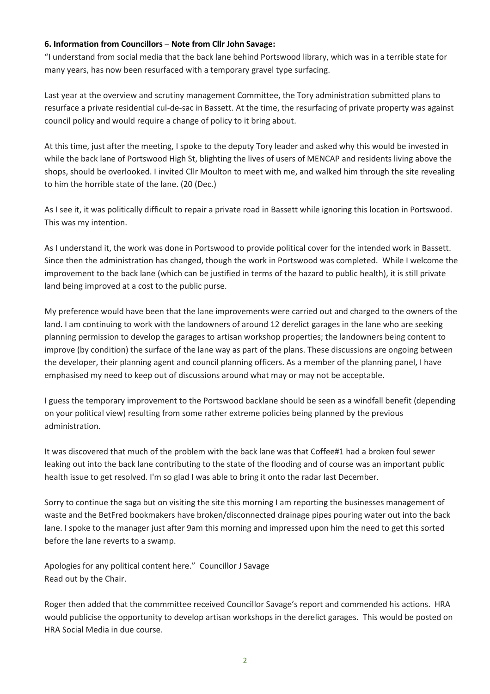### **6. Information from Councillors** – **Note from Cllr John Savage:**

"I understand from social media that the back lane behind Portswood library, which was in a terrible state for many years, has now been resurfaced with a temporary gravel type surfacing.

Last year at the overview and scrutiny management Committee, the Tory administration submitted plans to resurface a private residential cul-de-sac in Bassett. At the time, the resurfacing of private property was against council policy and would require a change of policy to it bring about.

At this time, just after the meeting, I spoke to the deputy Tory leader and asked why this would be invested in while the back lane of Portswood High St, blighting the lives of users of MENCAP and residents living above the shops, should be overlooked. I invited Cllr Moulton to meet with me, and walked him through the site revealing to him the horrible state of the lane. (20 (Dec.)

As I see it, it was politically difficult to repair a private road in Bassett while ignoring this location in Portswood. This was my intention.

As I understand it, the work was done in Portswood to provide political cover for the intended work in Bassett. Since then the administration has changed, though the work in Portswood was completed. While I welcome the improvement to the back lane (which can be justified in terms of the hazard to public health), it is still private land being improved at a cost to the public purse.

My preference would have been that the lane improvements were carried out and charged to the owners of the land. I am continuing to work with the landowners of around 12 derelict garages in the lane who are seeking planning permission to develop the garages to artisan workshop properties; the landowners being content to improve (by condition) the surface of the lane way as part of the plans. These discussions are ongoing between the developer, their planning agent and council planning officers. As a member of the planning panel, I have emphasised my need to keep out of discussions around what may or may not be acceptable.

I guess the temporary improvement to the Portswood backlane should be seen as a windfall benefit (depending on your political view) resulting from some rather extreme policies being planned by the previous administration.

It was discovered that much of the problem with the back lane was that Coffee#1 had a broken foul sewer leaking out into the back lane contributing to the state of the flooding and of course was an important public health issue to get resolved. I'm so glad I was able to bring it onto the radar last December.

Sorry to continue the saga but on visiting the site this morning I am reporting the businesses management of waste and the BetFred bookmakers have broken/disconnected drainage pipes pouring water out into the back lane. I spoke to the manager just after 9am this morning and impressed upon him the need to get this sorted before the lane reverts to a swamp.

Apologies for any political content here." Councillor J Savage Read out by the Chair.

Roger then added that the commmittee received Councillor Savage's report and commended his actions. HRA would publicise the opportunity to develop artisan workshops in the derelict garages. This would be posted on HRA Social Media in due course.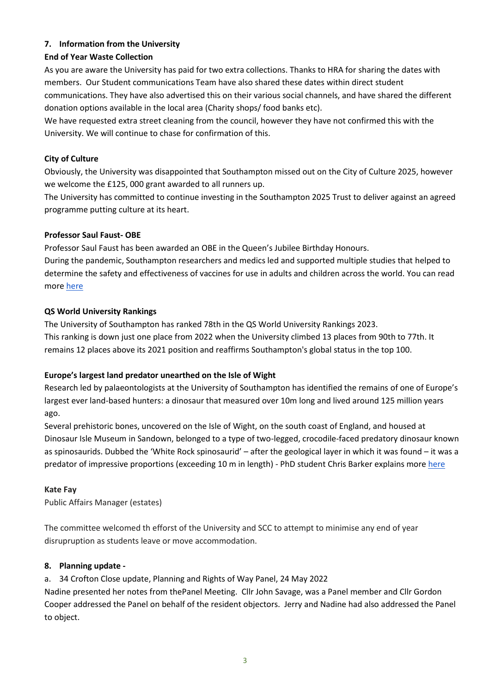# **7. Information from the University**

# **End of Year Waste Collection**

As you are aware the University has paid for two extra collections. Thanks to HRA for sharing the dates with members. Our Student communications Team have also shared these dates within direct student communications. They have also advertised this on their various social channels, and have shared the different donation options available in the local area (Charity shops/ food banks etc).

We have requested extra street cleaning from the council, however they have not confirmed this with the University. We will continue to chase for confirmation of this.

# **City of Culture**

Obviously, the University was disappointed that Southampton missed out on the City of Culture 2025, however we welcome the £125, 000 grant awarded to all runners up.

The University has committed to continue investing in the Southampton 2025 Trust to deliver against an agreed programme putting culture at its heart.

# **Professor Saul Faust- OBE**

Professor Saul Faust has been awarded an OBE in the Queen's Jubilee Birthday Honours.

During the pandemic, Southampton researchers and medics led and supported multiple studies that helped to determine the safety and effectiveness of vaccines for use in adults and children across the world. You can read more [here](https://www.southampton.ac.uk/news/2022/06/saul-honours.page)

# **QS World University Rankings**

The University of Southampton has ranked 78th in the QS World University Rankings 2023. This ranking is down just one place from 2022 when the University climbed 13 places from 90th to 77th. It remains 12 places above its 2021 position and reaffirms Southampton's global status in the top 100.

# **Europe's largest land predator unearthed on the Isle of Wight**

Research led by palaeontologists at the University of Southampton has identified the remains of one of Europe's largest ever land-based hunters: a dinosaur that measured over 10m long and lived around 125 million years ago.

Several prehistoric bones, uncovered on the Isle of Wight, on the south coast of England, and housed at Dinosaur Isle Museum in Sandown, belonged to a type of two-legged, crocodile-faced predatory dinosaur known as spinosaurids. Dubbed the 'White Rock spinosaurid' – after the geological layer in which it was found – it was a predator of impressive proportions (exceeding 10 m in length) - PhD student Chris Barker explains more [here](https://www.southampton.ac.uk/news/2022/06/dino-bones.page)

# **Kate Fay**

Public Affairs Manager (estates)

The committee welcomed th efforst of the University and SCC to attempt to minimise any end of year disrupruption as students leave or move accommodation.

# **8. Planning update -**

a. 34 Crofton Close update, Planning and Rights of Way Panel, 24 May 2022

Nadine presented her notes from thePanel Meeting. Cllr John Savage, was a Panel member and Cllr Gordon Cooper addressed the Panel on behalf of the resident objectors. Jerry and Nadine had also addressed the Panel to object.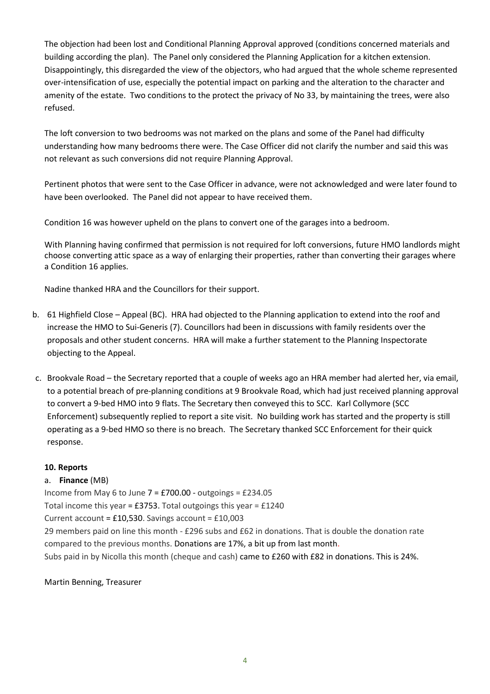The objection had been lost and Conditional Planning Approval approved (conditions concerned materials and building according the plan). The Panel only considered the Planning Application for a kitchen extension. Disappointingly, this disregarded the view of the objectors, who had argued that the whole scheme represented over-intensification of use, especially the potential impact on parking and the alteration to the character and amenity of the estate. Two conditions to the protect the privacy of No 33, by maintaining the trees, were also refused.

The loft conversion to two bedrooms was not marked on the plans and some of the Panel had difficulty understanding how many bedrooms there were. The Case Officer did not clarify the number and said this was not relevant as such conversions did not require Planning Approval.

Pertinent photos that were sent to the Case Officer in advance, were not acknowledged and were later found to have been overlooked. The Panel did not appear to have received them.

Condition 16 was however upheld on the plans to convert one of the garages into a bedroom.

With Planning having confirmed that permission is not required for loft conversions, future HMO landlords might choose converting attic space as a way of enlarging their properties, rather than converting their garages where a Condition 16 applies.

Nadine thanked HRA and the Councillors for their support.

- b. 61 Highfield Close Appeal (BC). HRA had objected to the Planning application to extend into the roof and increase the HMO to Sui-Generis (7). Councillors had been in discussions with family residents over the proposals and other student concerns. HRA will make a further statement to the Planning Inspectorate objecting to the Appeal.
- c. Brookvale Road the Secretary reported that a couple of weeks ago an HRA member had alerted her, via email, to a potential breach of pre-planning conditions at 9 Brookvale Road, which had just received planning approval to convert a 9-bed HMO into 9 flats. The Secretary then conveyed this to SCC. Karl Collymore (SCC Enforcement) subsequently replied to report a site visit. No building work has started and the property is still operating as a 9-bed HMO so there is no breach. The Secretary thanked SCC Enforcement for their quick response.

# **10. Reports**

# a. **Finance** (MB)

Income from May 6 to June 7 = £700.00 - outgoings = £234.05

Total income this year = £3753. Total outgoings this year = £1240

Current account = £10,530. Savings account = £10,003

29 members paid on line this month - £296 subs and £62 in donations. That is double the donation rate compared to the previous months. Donations are 17%, a bit up from last month.

Subs paid in by Nicolla this month (cheque and cash) came to £260 with £82 in donations. This is 24%.

Martin Benning, Treasurer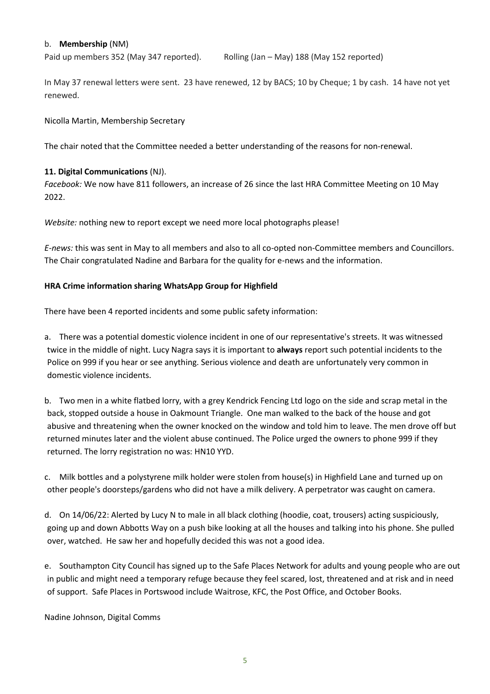### b. **Membership** (NM)

Paid up members 352 (May 347 reported). Rolling (Jan – May) 188 (May 152 reported)

In May 37 renewal letters were sent. 23 have renewed, 12 by BACS; 10 by Cheque; 1 by cash. 14 have not yet renewed.

### Nicolla Martin, Membership Secretary

The chair noted that the Committee needed a better understanding of the reasons for non-renewal.

### **11. Digital Communications** (NJ).

*Facebook:* We now have 811 followers, an increase of 26 since the last HRA Committee Meeting on 10 May 2022.

*Website:* nothing new to report except we need more local photographs please!

*E-news:* this was sent in May to all members and also to all co-opted non-Committee members and Councillors. The Chair congratulated Nadine and Barbara for the quality for e-news and the information.

### **HRA Crime information sharing WhatsApp Group for Highfield**

There have been 4 reported incidents and some public safety information:

a. There was a potential domestic violence incident in one of our representative's streets. It was witnessed twice in the middle of night. Lucy Nagra says it is important to **always** report such potential incidents to the Police on 999 if you hear or see anything. Serious violence and death are unfortunately very common in domestic violence incidents.

b. Two men in a white flatbed lorry, with a grey Kendrick Fencing Ltd logo on the side and scrap metal in the back, stopped outside a house in Oakmount Triangle. One man walked to the back of the house and got abusive and threatening when the owner knocked on the window and told him to leave. The men drove off but returned minutes later and the violent abuse continued. The Police urged the owners to phone 999 if they returned. The lorry registration no was: HN10 YYD.

c. Milk bottles and a polystyrene milk holder were stolen from house(s) in Highfield Lane and turned up on other people's doorsteps/gardens who did not have a milk delivery. A perpetrator was caught on camera.

d. On 14/06/22: Alerted by Lucy N to male in all black clothing (hoodie, coat, trousers) acting suspiciously, going up and down Abbotts Way on a push bike looking at all the houses and talking into his phone. She pulled over, watched. He saw her and hopefully decided this was not a good idea.

e. Southampton City Council has signed up to the Safe Places Network for adults and young people who are out in public and might need a temporary refuge because they feel scared, lost, threatened and at risk and in need of support. Safe Places in Portswood include Waitrose, KFC, the Post Office, and October Books.

Nadine Johnson, Digital Comms